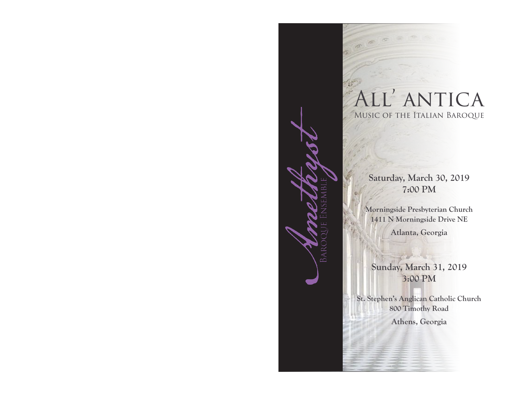

Saturday, March 30, 2019 7:00 PM

Morningside Presbyterian Church 1411 N Morningside Drive NE

Atlanta, Georgia

Sunday, March 31, 2019 3:00 PM

St. Stephen's Anglican Catholic Church 800 Timothy Road Athens, Georgia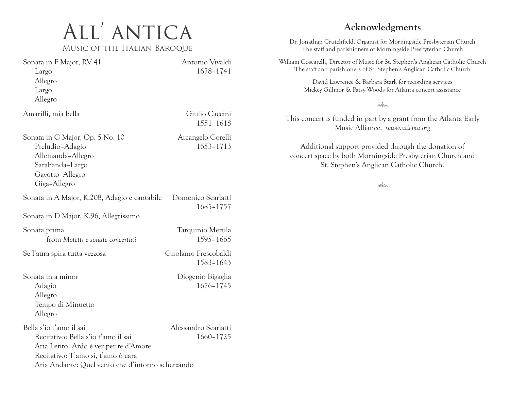# All' antica Music of the Italian Baroque

Sonata in F Major, RV 41 Antonio Vivaldi Largo 1678–1741 Allegro Largo Allegro Amarilli, mia bella Giulio Caccini 1551–1618 Sonata in G Major, Op. 5 No. 10 Arcangelo Corelli Preludio–Adagio 1653–1713 Allemanda–Allegro Sarabanda–Largo Gavotto–Allegro Giga–Allegro Sonata in A Major, K.208, Adagio e cantabile Domenico Scarlatti 1685–1757 Sonata in D Major, K.96, Allegrissimo Sonata prima Tarquinio Merula from *Motetti e sonate concertati* 1595–1665 Se l'aura spira tutta vezzosa Girolamo Frescobaldi 1583–1643 Sonata in a minor Diogenio Bigaglia Adagio 1676–1745 Allegro Tempo di Minuetto Allegro Bella s'io t'amo il sai Alessandro Scarlatti Recitativo: Bella s'io t'amo il sai 1660-1725 Aria Lento: Ardo è ver per te d'Amore Recitativo: T'amo si, t'amo ò cara Aria Andante: Quel vento che d'intorno scherzando

# Acknowledgments

Dr. Jonathan Crutchfield, Organist for Morningside Presbyterian Church The staff and parishioners of Morningside Presbyterian Church

William Coscarelli, Director of Music for St. Stephen's Anglican Catholic Church The staff and parishioners of St. Stephen's Anglican Catholic Church

> David Lawrence & Barbara Stark for recording services Mickey Gillmor & Patsy Woods for Atlanta concert assistance

#### solon

This concert is funded in part by a grant from the Atlanta Early Music Alliance. *www.atlema.org*

Additional support provided through the donation of concert space by both Morningside Presbyterian Church and St. Stephen's Anglican Catholic Church.

sollou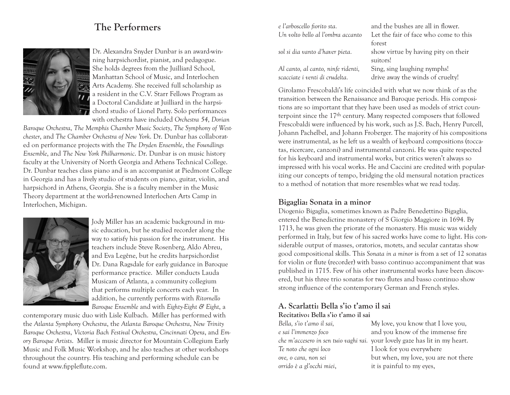# The Performers



Dr. Alexandra Snyder Dunbar is an award-winning harpsichordist, pianist, and pedagogue. She holds degrees from the Juilliard School, Manhattan School of Music, and Interlochen Arts Academy. She received full scholarship as a resident in the C.V. Starr Fellows Program as a Doctoral Candidate at Juilliard in the harpsichord studio of Lionel Party. Solo performances with orchestra have included *Orchestra 54*, *Dorian* 

*Baroque Orchestra*, *The Memphis Chamber Music Society*, *The Symphony of Westchester*, and *The Chamber Orchestra of New York*. Dr. Dunbar has collaborated on performance projects with the *The Dryden Ensemble*, the *Foundlings Ensemble*, and *The New York Philharmonic*. Dr. Dunbar is on music history faculty at the University of North Georgia and Athens Technical College. Dr. Dunbar teaches class piano and is an accompanist at Piedmont College in Georgia and has a lively studio of students on piano, guitar, violin, and harpsichord in Athens, Georgia. She is a faculty member in the Music Theory department at the world-renowned Interlochen Arts Camp in Interlochen, Michigan.



Jody Miller has an academic background in music education, but he studied recorder along the way to satisfy his passion for the instrument. His teachers include Steve Rosenberg, Aldo Abreu, and Eva Legêne, but he credits harpsichordist Dr. Dana Ragsdale for early guidance in Baroque performance practice. Miller conducts Lauda Musicam of Atlanta, a community collegium that performs multiple concerts each year. In addition, he currently performs with *Ritornello Baroque Ensemble* and with *Eighty-Eight & Eight*, a

contemporary music duo with Lisle Kulbach. Miller has performed with the *Atlanta Symphony Orchestra*, the *Atlanta Baroque Orchestra*, *New Trinity Baroque Orchestra*, *Victoria Bach Festival Orchestra*, *Cincinnati Opera*, and *Emory Baroque Artists*. Miller is music director for Mountain Collegium Early Music and Folk Music Workshop, and he also teaches at other workshops throughout the country. His teaching and performing schedule can be found at www.fippleflute.com.

*e l'arboscello fiorito sta.* and the bushes are all in flower. *Al canto, al canto, ninfe ridenti,* Sing, sing laughing nymphs!

*Un volto bello al l'ombra accanto* Let the fair of face who come to this forest *sol si dia vanto d'haver pieta.* show virtue by having pity on their suitors! *scacciate i venti di crudelta.* drive away the winds of cruelty!

Girolamo Frescobaldi's life coincided with what we now think of as the transition between the Renaissance and Baroque periods. His compositions are so important that they have been used as models of strict counterpoint since the 17th century. Many respected composers that followed Frescobaldi were influenced by his work, such as J.S. Bach, Henry Purcell, Johann Pachelbel, and Johann Froberger. The majority of his compositions were instrumental, as he left us a wealth of keyboard compositions (toccatas, ricercare, canzoni) and instrumental canzoni. He was quite respected for his keyboard and instrumental works, but critics weren't always so impressed with his vocal works. He and Caccini are credited with popularizing our concepts of tempo, bridging the old mensural notation practices to a method of notation that more resembles what we read today.

## Bigaglia: Sonata in a minor

Diogenio Bigaglia, sometimes known as Padre Benedettino Bigaglia, entered the Benedictine monastery of S Giorgio Maggiore in 1694. By 1713, he was given the priorate of the monastery. His music was widely performed in Italy, but few of his sacred works have come to light. His considerable output of masses, oratorios, motets, and secular cantatas show good compositional skills. This *Sonata in a minor* is from a set of 12 sonatas for violin or flute (recorder) with basso continuo accompaniment that was published in 1715. Few of his other instrumental works have been discovered, but his three trio sonatas for two flutes and basso continuo show strong influence of the contemporary German and French styles.

## A. Scarlatti: Bella s'io t'amo il sai Recitativo: Bella s'io t'amo il sai

*Te noto che ogni loco* I look for you everywhere *orrido è a gl'occhi miei*, it is painful to my eyes,

*Bella, s'io t'amo il sai,* My love, you know that I love you, *e sai l'immenzo foco* and you know of the immense fire *che m'accesero in sen tuio vaghi rai.* your lovely gaze has lit in my heart. *ove, o cara, non sei* but when, my love, you are not there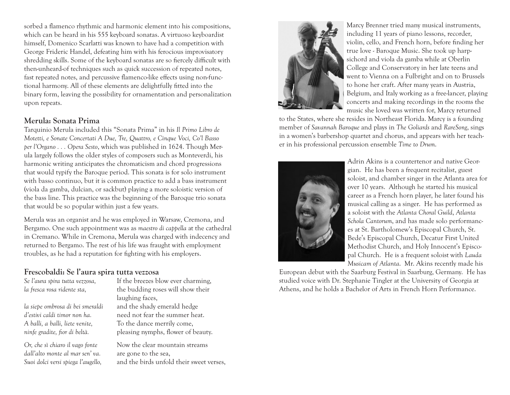sorbed a flamenco rhythmic and harmonic element into his compositions, which can be heard in his 555 keyboard sonatas. A virtuoso keyboardist himself, Domenico Scarlatti was known to have had a competition with George Frideric Handel, defeating him with his ferocious improvisatory shredding skills. Some of the keyboard sonatas are so fiercely difficult with then-unheard-of techniques such as quick succession of repeated notes, fast repeated notes, and percussive flamenco-like effects using non-functional harmony. All of these elements are delightfully fitted into the binary form, leaving the possibility for ornamentation and personalization upon repeats.

#### Merula: Sonata Prima

Tarquinio Merula included this "Sonata Prima" in his *Il Primo Libro de Motetti, e Sonate Concertati A Due, Tre, Quattro, e Cinque Voci, Co'l Basso per l'Organo . . . Opera Sesto*, which was published in 1624. Though Merula largely follows the older styles of composers such as Monteverdi, his harmonic writing anticipates the chromaticism and chord progressions that would typify the Baroque period. This sonata is for solo instrument with basso continuo, but it is common practice to add a bass instrument (viola da gamba, dulcian, or sackbut) playing a more soloistic version of the bass line. This practice was the beginning of the Baroque trio sonata that would be so popular within just a few years.

Merula was an organist and he was employed in Warsaw, Cremona, and Bergamo. One such appointment was as *maestro di cappella* at the cathedral in Cremano. While in Cremona, Merula was charged with indecency and returned to Bergamo. The rest of his life was fraught with employment troubles, as he had a reputation for fighting with his employers.

## Frescobaldi: Se l'aura spira tutta vezzosa

*la siepe ombrosa di bei smeraldi* and the shady emerald hedge

*dall'alto monte al mar sen' va.* are gone to the sea.

*Se l'aura spira tutta vezzosa,* If the breezes blow ever charming, *la fresca rosa ridente sta,* the budding roses will show their laughing faces,

*d'estivi caldi timor non ha.* Theed not fear the summer heat. *A balli, a balli, liete venite,* To the dance merrily come, *ninfe gradite, fior di beltà.* pleasing nymphs, flower of beauty.

*Or, che sì chiaro il vago fonte* Now the clear mountain streams *Suoi dolci versi spiega l'augello,* and the birds unfold their sweet verses,



Marcy Brenner tried many musical instruments, including 11 years of piano lessons, recorder, violin, cello, and French horn, before finding her true love - Baroque Music. She took up harpsichord and viola da gamba while at Oberlin College and Conservatory in her late teens and went to Vienna on a Fulbright and on to Brussels to hone her craft. After many years in Austria, Belgium, and Italy working as a free-lancer, playing concerts and making recordings in the rooms the music she loved was written for, Marcy returned

to the States, where she resides in Northeast Florida. Marcy is a founding member of *Savannah Baroque* and plays in *The Goliards* and *RareSong*, sings in a women's barbershop quartet and chorus, and appears with her teacher in his professional percussion ensemble *Time to Drum*.



Adrin Akins is a countertenor and native Georgian. He has been a frequent recitalist, guest soloist, and chamber singer in the Atlanta area for over 10 years. Although he started his musical career as a French horn player, he later found his musical calling as a singer. He has performed as a soloist with the *Atlanta Choral Guild*, *Atlanta Schola Cantorum*, and has made solo performances at St. Bartholomew's Episcopal Church, St. Bede's Episcopal Church, Decatur First United Methodist Church, and Holy Innocent's Episcopal Church. He is a frequent soloist with *Lauda Musicam of Atlanta*. Mr. Akins recently made his

European debut with the Saarburg Festival in Saarburg, Germany. He has studied voice with Dr. Stephanie Tingler at the University of Georgia at Athens, and he holds a Bachelor of Arts in French Horn Performance.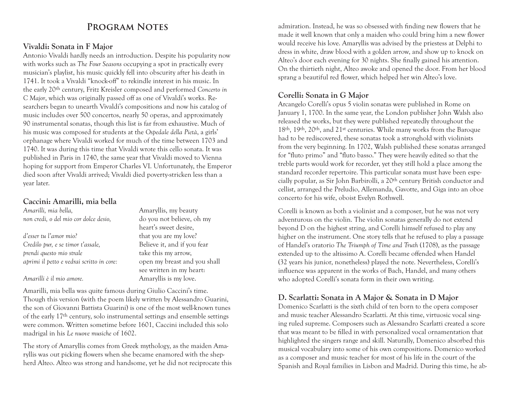## **Program Notes**

#### Vivaldi: Sonata in F Major

Antonio Vivaldi hardly needs an introduction. Despite his popularity now with works such as *The Four Seasons* occupying a spot in practically every musician's playlist, his music quickly fell into obscurity after his death in 1741. It took a Vivaldi "knock-off" to rekindle interest in his music. In the early 20th century, Fritz Kreisler composed and performed *Concerto in C Major*, which was originally passed off as one of Vivaldi's works. Researchers began to unearth Vivaldi's compositions and now his catalog of music includes over 500 concertos, nearly 50 operas, and approximately 90 instrumental sonatas, though this list is far from exhaustive. Much of his music was composed for students at the *Ospedale della Pietà*, a girls' orphanage where Vivaldi worked for much of the time between 1703 and 1740. It was during this time that Vivaldi wrote this cello sonata. It was published in Paris in 1740, the same year that Vivaldi moved to Vienna hoping for support from Emperor Charles VI. Unfortunately, the Emperor died soon after Vivaldi arrived; Vivaldi died poverty-stricken less than a year later.

#### Caccini: Amarilli, mia bella

*Amarilli, mia bella,* Amaryllis, my beauty *non credi, o del mio cor dolce desio,* do you not believe, oh my heart's sweet desire, *d'esser tu l'amor mio?* that you are my love? *Credilo pur, e se timor t'assale,* Believe it, and if you fear *prendi questo mio strale* take this my arrow, *aprimi il petto e vedrai scritto in core:* open my breast and you shall see written in my heart: *Amarilli è il mio amore.* Amaryllis is my love.

Amarilli, mia bella was quite famous during Giulio Caccini's time. Though this version (with the poem likely written by Alessandro Guarini, the son of Giovanni Battista Guarini) is one of the most well-known tunes of the early 17th century, solo instrumental settings and ensemble settings were common. Written sometime before 1601, Caccini included this solo madrigal in his *Le nuove musiche* of 1602.

The story of Amaryllis comes from Greek mythology, as the maiden Amaryllis was out picking flowers when she became enamored with the shepherd Alteo. Alteo was strong and handsome, yet he did not reciprocate this

admiration. Instead, he was so obsessed with finding new flowers that he made it well known that only a maiden who could bring him a new flower would receive his love. Amaryllis was advised by the priestess at Delphi to dress in white, draw blood with a golden arrow, and show up to knock on Alteo's door each evening for 30 nights. She finally gained his attention. On the thirtieth night, Alteo awoke and opened the door. From her blood sprang a beautiful red flower, which helped her win Alteo's love.

## Corelli: Sonata in G Major

Arcangelo Corelli's opus 5 violin sonatas were published in Rome on January 1, 1700. In the same year, the London publisher John Walsh also released the works, but they were published repeatedly throughout the 18th, 19th, 20th, and 21st centuries. While many works from the Baroque had to be rediscovered, these sonatas took a stronghold with violinists from the very beginning. In 1702, Walsh published these sonatas arranged for "fluto primo" and "fluto basso." They were heavily edited so that the treble parts would work for recorder, yet they still hold a place among the standard recorder repertoire. This particular sonata must have been especially popular, as Sir John Barbirolli, a 20th century British conductor and cellist, arranged the Preludio, Allemanda, Gavotte, and Giga into an oboe concerto for his wife, oboist Evelyn Rothwell.

Corelli is known as both a violinist and a composer, but he was not very adventurous on the violin. The violin sonatas generally do not extend beyond D on the highest string, and Corelli himself refused to play any higher on the instrument. One story tells that he refused to play a passage of Handel's oratorio *The Triumph of Time and Truth* (1708), as the passage extended up to the altissimo A. Corelli became offended when Handel (32 years his junior, nonetheless) played the note. Nevertheless, Corelli's influence was apparent in the works of Bach, Handel, and many others who adopted Corelli's sonata form in their own writing.

## D. Scarlatti: Sonata in A Major & Sonata in D Major

Domenico Scarlatti is the sixth child of ten born to the opera composer and music teacher Alessandro Scarlatti. At this time, virtuosic vocal singing ruled supreme. Composers such as Alessandro Scarlatti created a score that was meant to be filled in with personalized vocal ornamentation that highlighted the singers range and skill. Naturally, Domenico absorbed this musical vocabulary into some of his own compositions. Domenico worked as a composer and music teacher for most of his life in the court of the Spanish and Royal families in Lisbon and Madrid. During this time, he ab-